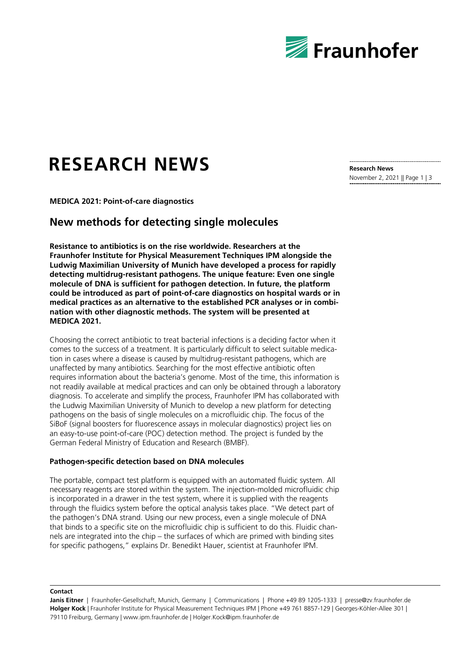

# **RESEARCH NEWS**

**Research News** November 2, 2021 || Page 1 | 3

**MEDICA 2021: Point-of-care diagnostics**

## **New methods for detecting single molecules**

**Resistance to antibiotics is on the rise worldwide. Researchers at the Fraunhofer Institute for Physical Measurement Techniques IPM alongside the Ludwig Maximilian University of Munich have developed a process for rapidly detecting multidrug-resistant pathogens. The unique feature: Even one single molecule of DNA is sufficient for pathogen detection. In future, the platform could be introduced as part of point-of-care diagnostics on hospital wards or in medical practices as an alternative to the established PCR analyses or in combination with other diagnostic methods. The system will be presented at MEDICA 2021.**

Choosing the correct antibiotic to treat bacterial infections is a deciding factor when it comes to the success of a treatment. It is particularly difficult to select suitable medication in cases where a disease is caused by multidrug-resistant pathogens, which are unaffected by many antibiotics. Searching for the most effective antibiotic often requires information about the bacteria's genome. Most of the time, this information is not readily available at medical practices and can only be obtained through a laboratory diagnosis. To accelerate and simplify the process, Fraunhofer IPM has collaborated with the Ludwig Maximilian University of Munich to develop a new platform for detecting pathogens on the basis of single molecules on a microfluidic chip. The focus of the SiBoF (signal boosters for fluorescence assays in molecular diagnostics) project lies on an easy-to-use point-of-care (POC) detection method. The project is funded by the German Federal Ministry of Education and Research (BMBF).

#### **Pathogen-specific detection based on DNA molecules**

The portable, compact test platform is equipped with an automated fluidic system. All necessary reagents are stored within the system. The injection-molded microfluidic chip is incorporated in a drawer in the test system, where it is supplied with the reagents through the fluidics system before the optical analysis takes place. "We detect part of the pathogen's DNA strand. Using our new process, even a single molecule of DNA that binds to a specific site on the microfluidic chip is sufficient to do this. Fluidic channels are integrated into the chip – the surfaces of which are primed with binding sites for specific pathogens," explains Dr. Benedikt Hauer, scientist at Fraunhofer IPM.

**Contact**

Janis Eitner | Fraunhofer-Gesellschaft, Munich, Germany | Communications | Phone +49 89 1205-1333 | presse@zv.fraunhofer.de **Holger Kock** | Fraunhofer Institute for Physical Measurement Techniques IPM | Phone +49 761 8857-129 | Georges-Köhler-Allee 301 | 79110 Freiburg, Germany | www.ipm.fraunhofer.de | Holger.Kock@ipm.fraunhofer.de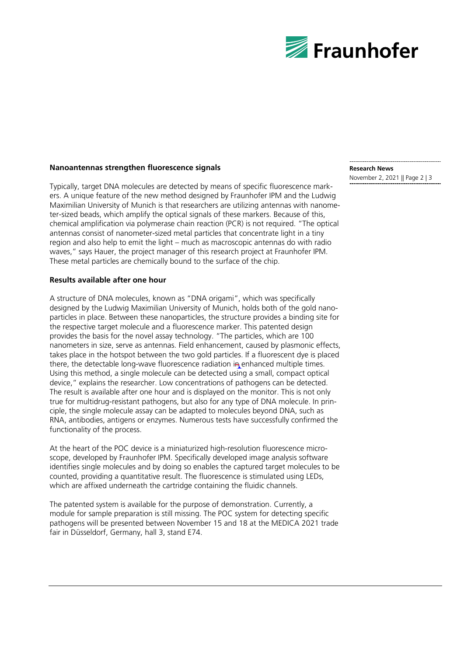

#### **Nanoantennas strengthen fluorescence signals**

Typically, target DNA molecules are detected by means of specific fluorescence markers. A unique feature of the new method designed by Fraunhofer IPM and the Ludwig Maximilian University of Munich is that researchers are utilizing antennas with nanometer-sized beads, which amplify the optical signals of these markers. Because of this, chemical amplification via polymerase chain reaction (PCR) is not required. "The optical antennas consist of nanometer-sized metal particles that concentrate light in a tiny region and also help to emit the light – much as macroscopic antennas do with radio waves," says Hauer, the project manager of this research project at Fraunhofer IPM. These metal particles are chemically bound to the surface of the chip.

#### **Results available after one hour**

A structure of DNA molecules, known as "DNA origami", which was specifically designed by the Ludwig Maximilian University of Munich, holds both of the gold nanoparticles in place. Between these nanoparticles, the structure provides a binding site for the respective target molecule and a fluorescence marker. This patented design provides the basis for the novel assay technology. "The particles, which are 100 nanometers in size, serve as antennas. Field enhancement, caused by plasmonic effects, takes place in the hotspot between the two gold particles. If a fluorescent dye is placed there, the detectable long-wave fluorescence radiation in enhanced multiple times. Using this method, a single molecule can be detected using a small, compact optical device," explains the researcher. Low concentrations of pathogens can be detected. The result is available after one hour and is displayed on the monitor. This is not only true for multidrug-resistant pathogens, but also for any type of DNA molecule. In principle, the single molecule assay can be adapted to molecules beyond DNA, such as RNA, antibodies, antigens or enzymes. Numerous tests have successfully confirmed the functionality of the process.

At the heart of the POC device is a miniaturized high-resolution fluorescence microscope, developed by Fraunhofer IPM. Specifically developed image analysis software identifies single molecules and by doing so enables the captured target molecules to be counted, providing a quantitative result. The fluorescence is stimulated using LEDs, which are affixed underneath the cartridge containing the fluidic channels.

The patented system is available for the purpose of demonstration. Currently, a module for sample preparation is still missing. The POC system for detecting specific pathogens will be presented between November 15 and 18 at the MEDICA 2021 trade fair in Düsseldorf, Germany, hall 3, stand E74.

### **Research News**

November 2, 2021 || Page 2 | 3